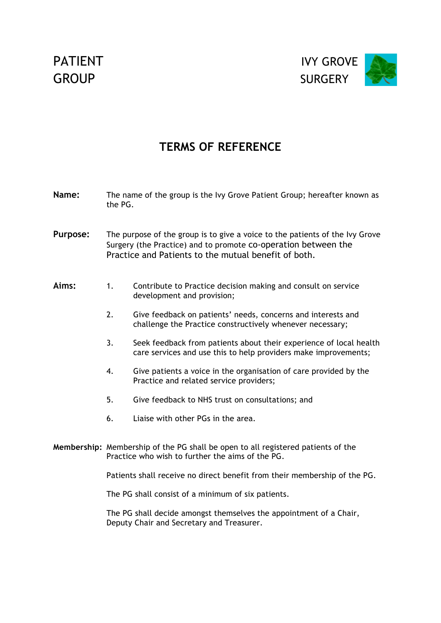

# **TERMS OF REFERENCE**

| Name:           | The name of the group is the Ivy Grove Patient Group; hereafter known as<br>the PG.                                                                                                                    |                                                                                                                                             |  |
|-----------------|--------------------------------------------------------------------------------------------------------------------------------------------------------------------------------------------------------|---------------------------------------------------------------------------------------------------------------------------------------------|--|
| <b>Purpose:</b> | The purpose of the group is to give a voice to the patients of the Ivy Grove<br>Surgery (the Practice) and to promote co-operation between the<br>Practice and Patients to the mutual benefit of both. |                                                                                                                                             |  |
| Aims:           | 1.                                                                                                                                                                                                     | Contribute to Practice decision making and consult on service<br>development and provision;                                                 |  |
|                 | 2.                                                                                                                                                                                                     | Give feedback on patients' needs, concerns and interests and<br>challenge the Practice constructively whenever necessary;                   |  |
|                 | 3.                                                                                                                                                                                                     | Seek feedback from patients about their experience of local health<br>care services and use this to help providers make improvements;       |  |
|                 | 4.                                                                                                                                                                                                     | Give patients a voice in the organisation of care provided by the<br>Practice and related service providers;                                |  |
|                 | 5.                                                                                                                                                                                                     | Give feedback to NHS trust on consultations; and                                                                                            |  |
|                 | 6.                                                                                                                                                                                                     | Liaise with other PGs in the area.                                                                                                          |  |
|                 |                                                                                                                                                                                                        | <b>Membership:</b> Membership of the PG shall be open to all registered patients of the<br>Practice who wish to further the aims of the PG. |  |
|                 | Patients shall receive no direct benefit from their membership of the PG.                                                                                                                              |                                                                                                                                             |  |
|                 |                                                                                                                                                                                                        | The PG shall consist of a minimum of six patients.                                                                                          |  |
|                 | The PG shall decide amongst themselves the appointment of a Chair,                                                                                                                                     |                                                                                                                                             |  |

Deputy Chair and Secretary and Treasurer.